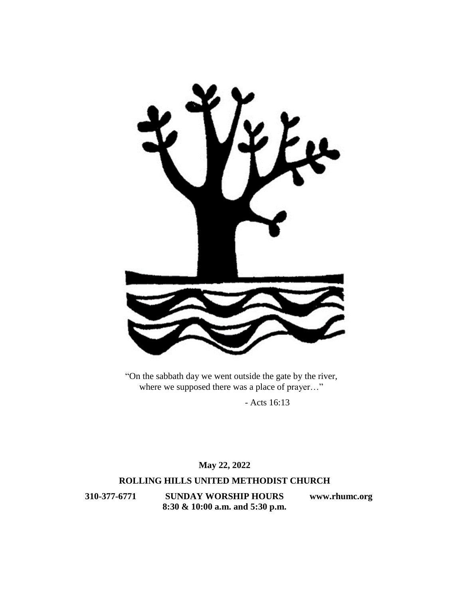

"On the sabbath day we went outside the gate by the river, where we supposed there was a place of prayer…"

- Acts 16:13

**May 22, 2022**

## **ROLLING HILLS UNITED METHODIST CHURCH**

**310-377-6771 SUNDAY WORSHIP HOURS [www.rhumc.org](http://www.rhumc.org/) 8:30 & 10:00 a.m. and 5:30 p.m.**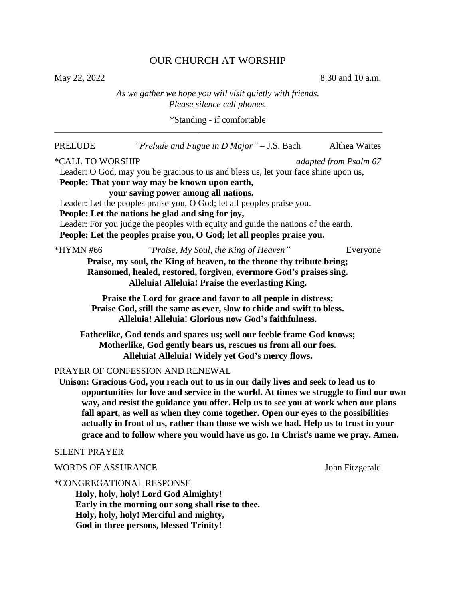# OUR CHURCH AT WORSHIP

May 22, 2022 8:30 and 10 a.m.

*As we gather we hope you will visit quietly with friends. Please silence cell phones.*

\*Standing - if comfortable

| <b>PRELUDE</b>            | "Prelude and Fugue in D Major" $-$ J.S. Bach                                                                                                                                                                                                                                                                                                                                                                                                                                                                                                                          | <b>Althea Waites</b>  |
|---------------------------|-----------------------------------------------------------------------------------------------------------------------------------------------------------------------------------------------------------------------------------------------------------------------------------------------------------------------------------------------------------------------------------------------------------------------------------------------------------------------------------------------------------------------------------------------------------------------|-----------------------|
| *CALL TO WORSHIP          | Leader: O God, may you be gracious to us and bless us, let your face shine upon us,<br>People: That your way may be known upon earth,<br>your saving power among all nations.<br>Leader: Let the peoples praise you, O God; let all peoples praise you.<br>People: Let the nations be glad and sing for joy,<br>Leader: For you judge the peoples with equity and guide the nations of the earth.<br>People: Let the peoples praise you, O God; let all peoples praise you.                                                                                           | adapted from Psalm 67 |
| *HYMN #66                 | "Praise, My Soul, the King of Heaven"<br>Praise, my soul, the King of heaven, to the throne thy tribute bring;<br>Ransomed, healed, restored, forgiven, evermore God's praises sing.<br>Alleluia! Alleluia! Praise the everlasting King.                                                                                                                                                                                                                                                                                                                              | Everyone              |
|                           | Praise the Lord for grace and favor to all people in distress;<br>Praise God, still the same as ever, slow to chide and swift to bless.<br>Alleluia! Alleluia! Glorious now God's faithfulness.                                                                                                                                                                                                                                                                                                                                                                       |                       |
|                           | Fatherlike, God tends and spares us; well our feeble frame God knows;<br>Motherlike, God gently bears us, rescues us from all our foes.<br>Alleluia! Alleluia! Widely yet God's mercy flows.                                                                                                                                                                                                                                                                                                                                                                          |                       |
|                           | PRAYER OF CONFESSION AND RENEWAL<br>Unison: Gracious God, you reach out to us in our daily lives and seek to lead us to<br>opportunities for love and service in the world. At times we struggle to find our own<br>way, and resist the guidance you offer. Help us to see you at work when our plans<br>fall apart, as well as when they come together. Open our eyes to the possibilities<br>actually in front of us, rather than those we wish we had. Help us to trust in your<br>grace and to follow where you would have us go. In Christ's name we pray. Amen. |                       |
| <b>SILENT PRAYER</b>      |                                                                                                                                                                                                                                                                                                                                                                                                                                                                                                                                                                       |                       |
| <b>WORDS OF ASSURANCE</b> |                                                                                                                                                                                                                                                                                                                                                                                                                                                                                                                                                                       | John Fitzgerald       |
|                           | *CONGREGATIONAL RESPONSE<br>Holy holy holy! Lord God Almighty!                                                                                                                                                                                                                                                                                                                                                                                                                                                                                                        |                       |

**Holy, holy, holy! Lord God Almighty! Early in the morning our song shall rise to thee. Holy, holy, holy! Merciful and mighty, God in three persons, blessed Trinity!**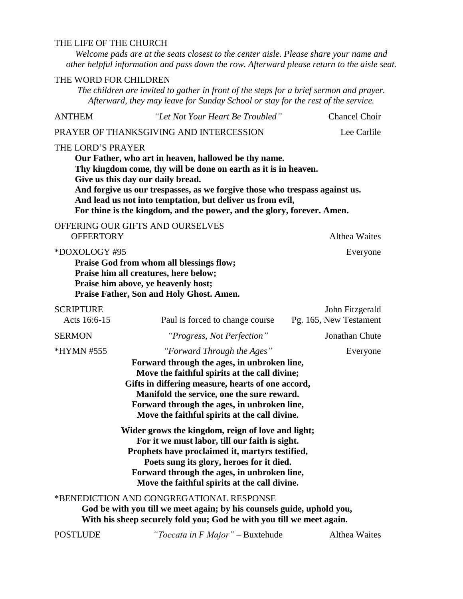## THE LIFE OF THE CHURCH

*Welcome pads are at the seats closest to the center aisle. Please share your name and other helpful information and pass down the row. Afterward please return to the aisle seat.*

### THE WORD FOR CHILDREN

*The children are invited to gather in front of the steps for a brief sermon and prayer. Afterward, they may leave for Sunday School or stay for the rest of the service.*

| <b>ANTHEM</b>                    | "Let Not Your Heart Be Troubled"                                                                                                                                                                                                                                                                                                                                                    | <b>Chancel Choir</b>                      |
|----------------------------------|-------------------------------------------------------------------------------------------------------------------------------------------------------------------------------------------------------------------------------------------------------------------------------------------------------------------------------------------------------------------------------------|-------------------------------------------|
|                                  | PRAYER OF THANKSGIVING AND INTERCESSION                                                                                                                                                                                                                                                                                                                                             | Lee Carlile                               |
| THE LORD'S PRAYER                | Our Father, who art in heaven, hallowed be thy name.<br>Thy kingdom come, thy will be done on earth as it is in heaven.<br>Give us this day our daily bread.<br>And forgive us our trespasses, as we forgive those who trespass against us.<br>And lead us not into temptation, but deliver us from evil,<br>For thine is the kingdom, and the power, and the glory, forever. Amen. |                                           |
| <b>OFFERTORY</b>                 | OFFERING OUR GIFTS AND OURSELVES                                                                                                                                                                                                                                                                                                                                                    | <b>Althea Waites</b>                      |
| *DOXOLOGY #95                    | Praise God from whom all blessings flow;<br>Praise him all creatures, here below;<br>Praise him above, ye heavenly host;<br>Praise Father, Son and Holy Ghost. Amen.                                                                                                                                                                                                                | Everyone                                  |
| <b>SCRIPTURE</b><br>Acts 16:6-15 | Paul is forced to change course                                                                                                                                                                                                                                                                                                                                                     | John Fitzgerald<br>Pg. 165, New Testament |
| <b>SERMON</b>                    | "Progress, Not Perfection"                                                                                                                                                                                                                                                                                                                                                          | Jonathan Chute                            |
| *HYMN #555                       | "Forward Through the Ages"<br>Forward through the ages, in unbroken line,<br>Move the faithful spirits at the call divine;<br>Gifts in differing measure, hearts of one accord,<br>Manifold the service, one the sure reward.<br>Forward through the ages, in unbroken line,<br>Move the faithful spirits at the call divine.                                                       | Everyone                                  |
|                                  | Wider grows the kingdom, reign of love and light;<br>For it we must labor, till our faith is sight.<br>Prophets have proclaimed it, martyrs testified,<br>Poets sung its glory, heroes for it died.<br>Forward through the ages, in unbroken line,<br>Move the faithful spirits at the call divine.                                                                                 |                                           |
|                                  | *BENEDICTION AND CONGREGATIONAL RESPONSE<br>God be with you till we meet again; by his counsels guide, uphold you,<br>With his sheep securely fold you; God be with you till we meet again.                                                                                                                                                                                         |                                           |
| <b>POSTLUDE</b>                  | "Toccata in F Major" - Buxtehude                                                                                                                                                                                                                                                                                                                                                    | <b>Althea Waites</b>                      |